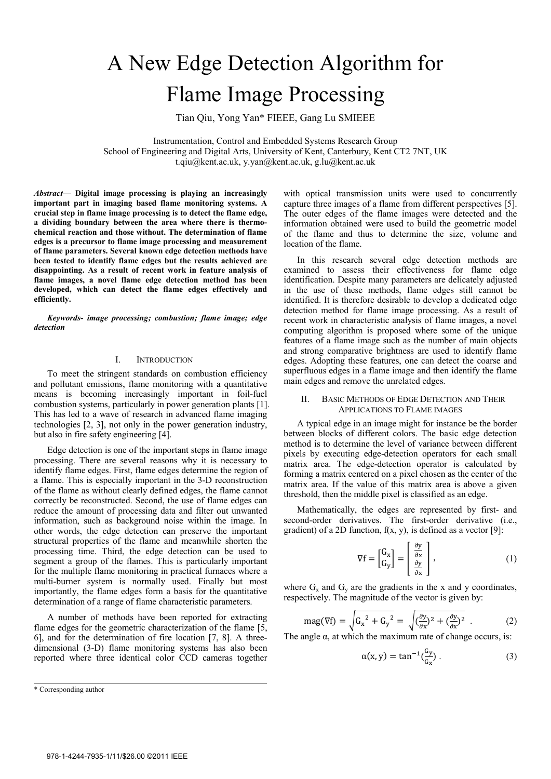# A New Edge Detection Algorithm for Flame Image Processing

Tian Qiu, Yong Yan\* FIEEE, Gang Lu SMIEEE

Instrumentation, Control and Embedded Systems Research Group School of Engineering and Digital Arts, University of Kent, Canterbury, Kent CT2 7NT, UK t.qiu@kent.ac.uk, y.yan@kent.ac.uk, g.lu@kent.ac.uk

*Abstract*— **Digital image processing is playing an increasingly important part in imaging based flame monitoring systems. A crucial step in flame image processing is to detect the flame edge, a dividing boundary between the area where there is thermochemical reaction and those without. The determination of flame edges is a precursor to flame image processing and measurement of flame parameters. Several known edge detection methods have been tested to identify flame edges but the results achieved are disappointing. As a result of recent work in feature analysis of flame images, a novel flame edge detection method has been developed, which can detect the flame edges effectively and efficiently.** 

*Keywords- image processing; combustion; flame image; edge detection* 

### I. INTRODUCTION

To meet the stringent standards on combustion efficiency and pollutant emissions, flame monitoring with a quantitative means is becoming increasingly important in foil-fuel combustion systems, particularly in power generation plants [1]. This has led to a wave of research in advanced flame imaging technologies [2, 3], not only in the power generation industry, but also in fire safety engineering [4].

Edge detection is one of the important steps in flame image processing. There are several reasons why it is necessary to identify flame edges. First, flame edges determine the region of a flame. This is especially important in the 3-D reconstruction of the flame as without clearly defined edges, the flame cannot correctly be reconstructed. Second, the use of flame edges can reduce the amount of processing data and filter out unwanted information, such as background noise within the image. In other words, the edge detection can preserve the important structural properties of the flame and meanwhile shorten the processing time. Third, the edge detection can be used to segment a group of the flames. This is particularly important for the multiple flame monitoring in practical furnaces where a multi-burner system is normally used. Finally but most importantly, the flame edges form a basis for the quantitative determination of a range of flame characteristic parameters.

A number of methods have been reported for extracting flame edges for the geometric characterization of the flame [5, 6], and for the determination of fire location [7, 8]. A threedimensional (3-D) flame monitoring systems has also been reported where three identical color CCD cameras together

\* Corresponding author

with optical transmission units were used to concurrently capture three images of a flame from different perspectives [5]. The outer edges of the flame images were detected and the information obtained were used to build the geometric model of the flame and thus to determine the size, volume and location of the flame.

In this research several edge detection methods are examined to assess their effectiveness for flame edge identification. Despite many parameters are delicately adjusted in the use of these methods, flame edges still cannot be identified. It is therefore desirable to develop a dedicated edge detection method for flame image processing. As a result of recent work in characteristic analysis of flame images, a novel computing algorithm is proposed where some of the unique features of a flame image such as the number of main objects and strong comparative brightness are used to identify flame edges. Adopting these features, one can detect the coarse and superfluous edges in a flame image and then identify the flame main edges and remove the unrelated edges.

## II. BASIC METHODS OF EDGE DETECTION AND THEIR APPLICATIONS TO FLAME IMAGES

A typical edge in an image might for instance be the border between blocks of different colors. The basic edge detection method is to determine the level of variance between different pixels by executing edge-detection operators for each small matrix area. The edge-detection operator is calculated by forming a matrix centered on a pixel chosen as the center of the matrix area. If the value of this matrix area is above a given threshold, then the middle pixel is classified as an edge.

Mathematically, the edges are represented by first- and second-order derivatives. The first-order derivative (i.e., gradient) of a 2D function,  $f(x, y)$ , is defined as a vector [9]:

$$
\nabla f = \begin{bmatrix} G_x \\ G_y \end{bmatrix} = \begin{bmatrix} \frac{\partial y}{\partial x} \\ \frac{\partial y}{\partial x} \end{bmatrix},
$$
 (1)

where  $G_x$  and  $G_y$  are the gradients in the x and y coordinates, respectively. The magnitude of the vector is given by:

$$
\text{mag}(\nabla f) = \sqrt{G_x^2 + G_y^2} = \sqrt{(\frac{\partial y}{\partial x})^2 + (\frac{\partial y}{\partial x})^2} \tag{2}
$$

The angle  $\alpha$ , at which the maximum rate of change occurs, is:

$$
\alpha(x, y) = \tan^{-1} \left( \frac{G_y}{G_x} \right). \tag{3}
$$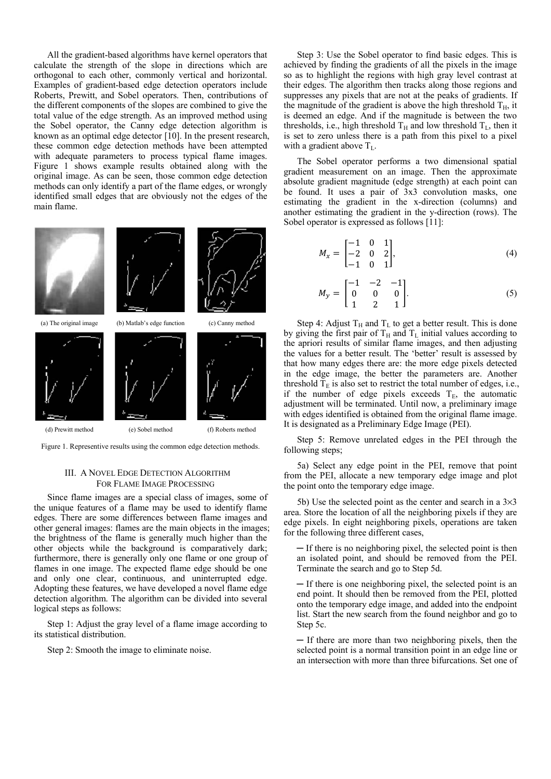All the gradient-based algorithms have kernel operators that calculate the strength of the slope in directions which are orthogonal to each other, commonly vertical and horizontal. Examples of gradient-based edge detection operators include Roberts, Prewitt, and Sobel operators. Then, contributions of the different components of the slopes are combined to give the total value of the edge strength. As an improved method using the Sobel operator, the Canny edge detection algorithm is known as an optimal edge detector [10]. In the present research, these common edge detection methods have been attempted with adequate parameters to process typical flame images. Figure 1 shows example results obtained along with the original image. As can be seen, those common edge detection methods can only identify a part of the flame edges, or wrongly identified small edges that are obviously not the edges of the main flame.



Figure 1. Representive results using the common edge detection methods.

## III. A NOVEL EDGE DETECTION ALGORITHM FOR FLAME IMAGE PROCESSING

Since flame images are a special class of images, some of the unique features of a flame may be used to identify flame edges. There are some differences between flame images and other general images: flames are the main objects in the images; the brightness of the flame is generally much higher than the other objects while the background is comparatively dark; furthermore, there is generally only one flame or one group of flames in one image. The expected flame edge should be one and only one clear, continuous, and uninterrupted edge. Adopting these features, we have developed a novel flame edge detection algorithm. The algorithm can be divided into several logical steps as follows:

Step 1: Adjust the gray level of a flame image according to its statistical distribution.

Step 2: Smooth the image to eliminate noise.

Step 3: Use the Sobel operator to find basic edges. This is achieved by finding the gradients of all the pixels in the image so as to highlight the regions with high gray level contrast at their edges. The algorithm then tracks along those regions and suppresses any pixels that are not at the peaks of gradients. If the magnitude of the gradient is above the high threshold  $T_H$ , it is deemed an edge. And if the magnitude is between the two thresholds, i.e., high threshold  $T_H$  and low threshold  $T_L$ , then it is set to zero unless there is a path from this pixel to a pixel with a gradient above  $T_L$ .

The Sobel operator performs a two dimensional spatial gradient measurement on an image. Then the approximate absolute gradient magnitude (edge strength) at each point can be found. It uses a pair of 3x3 convolution masks, one estimating the gradient in the x-direction (columns) and another estimating the gradient in the y-direction (rows). The Sobel operator is expressed as follows [11]:

$$
M_x = \begin{bmatrix} -1 & 0 & 1 \\ -2 & 0 & 2 \\ -1 & 0 & 1 \end{bmatrix}, \tag{4}
$$

$$
M_{y} = \begin{bmatrix} -1 & -2 & -1 \\ 0 & 0 & 0 \\ 1 & 2 & 1 \end{bmatrix}.
$$
 (5)

Step 4: Adjust  $T_H$  and  $T_L$  to get a better result. This is done by giving the first pair of  $T_H$  and  $T_L$  initial values according to the apriori results of similar flame images, and then adjusting the values for a better result. The 'better' result is assessed by that how many edges there are: the more edge pixels detected in the edge image, the better the parameters are. Another threshold  $T_E$  is also set to restrict the total number of edges, i.e., if the number of edge pixels exceeds  $T_E$ , the automatic adjustment will be terminated. Until now, a preliminary image with edges identified is obtained from the original flame image. It is designated as a Preliminary Edge Image (PEI).

Step 5: Remove unrelated edges in the PEI through the following steps;

5a) Select any edge point in the PEI, remove that point from the PEI, allocate a new temporary edge image and plot the point onto the temporary edge image.

5b) Use the selected point as the center and search in a  $3\times3$ area. Store the location of all the neighboring pixels if they are edge pixels. In eight neighboring pixels, operations are taken for the following three different cases,

 $-$  If there is no neighboring pixel, the selected point is then an isolated point, and should be removed from the PEI. Terminate the search and go to Step 5d.

 $\overline{\phantom{a}}$  If there is one neighboring pixel, the selected point is an end point. It should then be removed from the PEI, plotted onto the temporary edge image, and added into the endpoint list. Start the new search from the found neighbor and go to Step 5c.

 $\overline{\phantom{a}}$  If there are more than two neighboring pixels, then the selected point is a normal transition point in an edge line or an intersection with more than three bifurcations. Set one of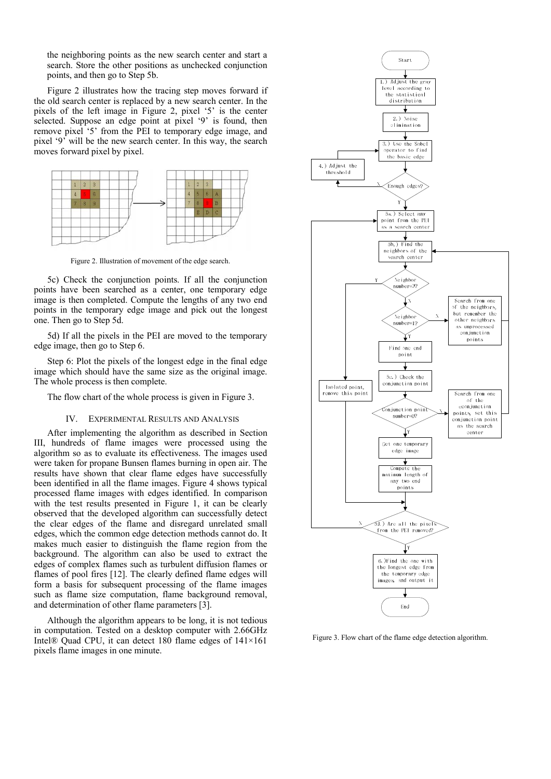the neighboring points as the new search center and start a search. Store the other positions as unchecked conjunction points, and then go to Step 5b.

Figure 2 illustrates how the tracing step moves forward if the old search center is replaced by a new search center. In the pixels of the left image in Figure 2, pixel '5' is the center selected. Suppose an edge point at pixel '9' is found, then remove pixel '5' from the PEI to temporary edge image, and pixel '9' will be the new search center. In this way, the search moves forward pixel by pixel.



Figure 2. Illustration of movement of the edge search.

5c) Check the conjunction points. If all the conjunction points have been searched as a center, one temporary edge image is then completed. Compute the lengths of any two end points in the temporary edge image and pick out the longest one. Then go to Step 5d.

5d) If all the pixels in the PEI are moved to the temporary edge image, then go to Step 6.

Step 6: Plot the pixels of the longest edge in the final edge image which should have the same size as the original image. The whole process is then complete.

The flow chart of the whole process is given in Figure 3.

### IV. EXPERIMENTAL RESULTS AND ANALYSIS

After implementing the algorithm as described in Section III, hundreds of flame images were processed using the algorithm so as to evaluate its effectiveness. The images used were taken for propane Bunsen flames burning in open air. The results have shown that clear flame edges have successfully been identified in all the flame images. Figure 4 shows typical processed flame images with edges identified. In comparison with the test results presented in Figure 1, it can be clearly observed that the developed algorithm can successfully detect the clear edges of the flame and disregard unrelated small edges, which the common edge detection methods cannot do. It makes much easier to distinguish the flame region from the background. The algorithm can also be used to extract the edges of complex flames such as turbulent diffusion flames or flames of pool fires [12]. The clearly defined flame edges will form a basis for subsequent processing of the flame images such as flame size computation, flame background removal, and determination of other flame parameters [3].

Although the algorithm appears to be long, it is not tedious in computation. Tested on a desktop computer with 2.66GHz Intel® Quad CPU, it can detect 180 flame edges of 141×161 pixels flame images in one minute.



Figure 3. Flow chart of the flame edge detection algorithm.